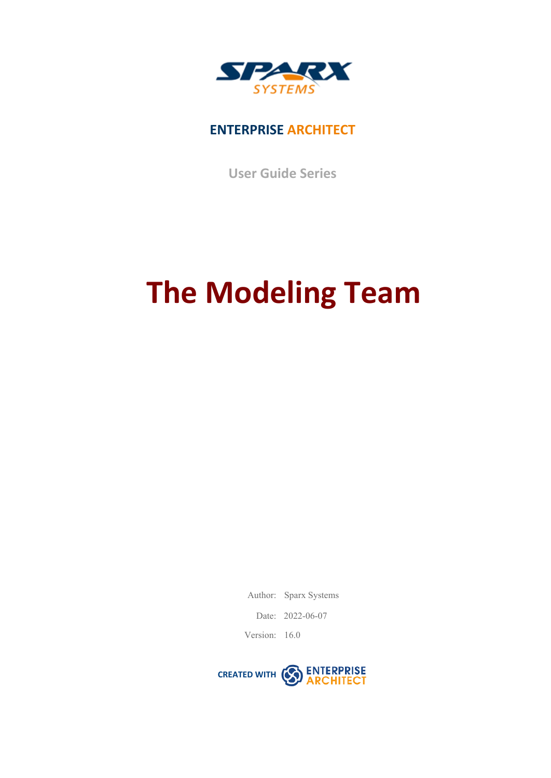

#### **ENTERPRISE ARCHITECT**

**User Guide Series**

# **The Modeling Team**

Author: Sparx Systems

Date: 2022-06-07

Version: 16.0

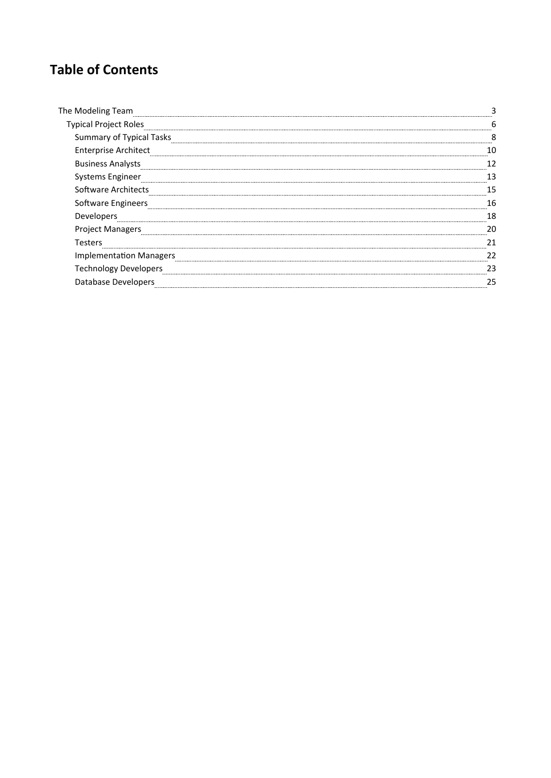### **Table of Contents**

| The Modeling Team               |    |
|---------------------------------|----|
| <b>Typical Project Roles</b>    |    |
| <b>Summary of Typical Tasks</b> | ◠  |
| <b>Enterprise Architect</b>     |    |
| <b>Business Analysts</b>        |    |
| Systems Engineer                |    |
| Software Architects             |    |
| Software Engineers              | 16 |
| Developers                      | 18 |
| <b>Project Managers</b>         | 21 |
| Testers                         |    |
| <b>Implementation Managers</b>  | າາ |
| <b>Technology Developers</b>    |    |
| <b>Database Developers</b>      |    |
|                                 |    |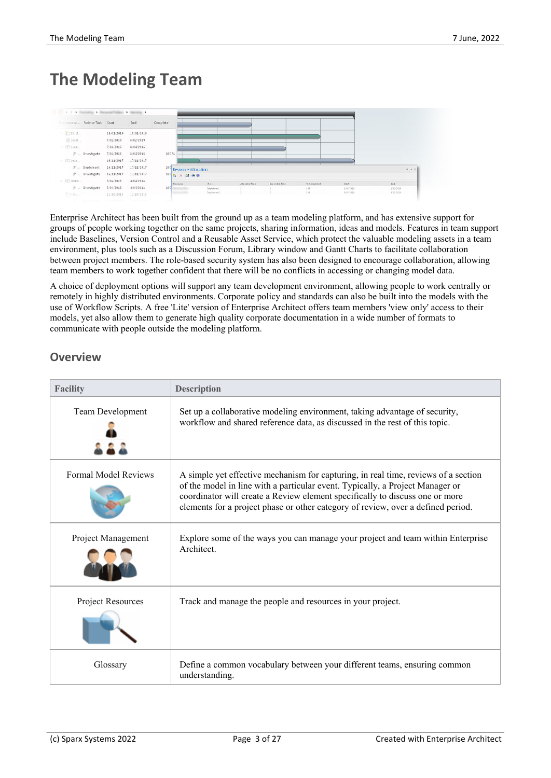### **The Modeling Team**



Enterprise Architect has been built from the ground up as a team modeling platform, and has extensive support for groups of people working together on the same projects, sharing information, ideas and models. Features in team support include Baselines, Version Control and a Reusable Asset Service, which protect the valuable modeling assets in a team environment, plus tools such as a Discussion Forum, Library window and Gantt Charts to facilitate collaboration between project members. The role-based security system has also been designed to encourage collaboration, allowing team members to work together confident that there will be no conflicts in accessing or changing model data.

A choice of deployment options will support any team development environment, allowing people to work centrally or remotely in highly distributed environments. Corporate policy and standards can also be built into the models with the use of Workflow Scripts. A free 'Lite' version of Enterprise Architect offers team members 'view only' access to their models, yet also allow them to generate high quality corporate documentation in a wide number of formats to communicate with people outside the modeling platform.

#### **Overview**

| <b>Facility</b>             | <b>Description</b>                                                                                                                                                                                                                                                                                                                      |
|-----------------------------|-----------------------------------------------------------------------------------------------------------------------------------------------------------------------------------------------------------------------------------------------------------------------------------------------------------------------------------------|
| Team Development            | Set up a collaborative modeling environment, taking advantage of security,<br>workflow and shared reference data, as discussed in the rest of this topic.                                                                                                                                                                               |
|                             |                                                                                                                                                                                                                                                                                                                                         |
| <b>Formal Model Reviews</b> | A simple yet effective mechanism for capturing, in real time, reviews of a section<br>of the model in line with a particular event. Typically, a Project Manager or<br>coordinator will create a Review element specifically to discuss one or more<br>elements for a project phase or other category of review, over a defined period. |
| Project Management          | Explore some of the ways you can manage your project and team within Enterprise<br>Architect                                                                                                                                                                                                                                            |
| Project Resources           | Track and manage the people and resources in your project.                                                                                                                                                                                                                                                                              |
| Glossary                    | Define a common vocabulary between your different teams, ensuring common<br>understanding.                                                                                                                                                                                                                                              |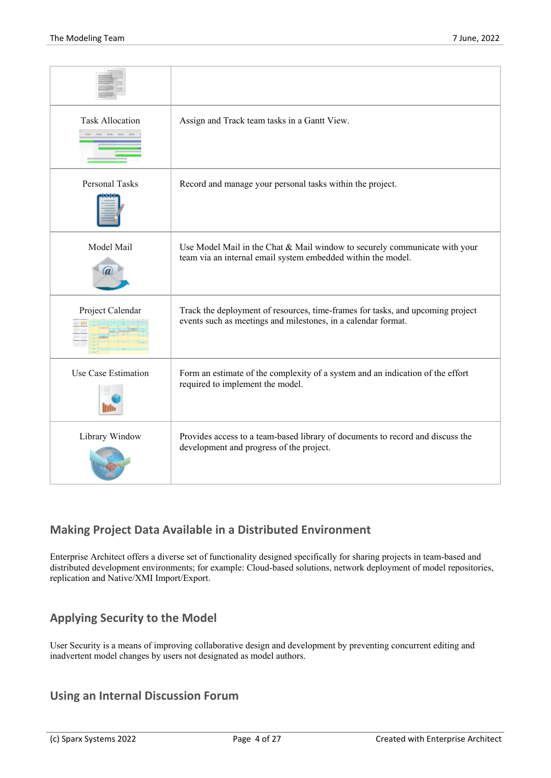| <b>Task Allocation</b> | Assign and Track team tasks in a Gantt View.                                                                                                    |
|------------------------|-------------------------------------------------------------------------------------------------------------------------------------------------|
| <b>Personal Tasks</b>  | Record and manage your personal tasks within the project.                                                                                       |
| Model Mail             | Use Model Mail in the Chat & Mail window to securely communicate with your<br>team via an internal email system embedded within the model.      |
| Project Calendar       | Track the deployment of resources, time-frames for tasks, and upcoming project<br>events such as meetings and milestones, in a calendar format. |
| Use Case Estimation    | Form an estimate of the complexity of a system and an indication of the effort<br>required to implement the model.                              |
| Library Window         | Provides access to a team-based library of documents to record and discuss the<br>development and progress of the project.                      |

#### **Making Project Data Available in a Distributed Environment**

Enterprise Architect offers a diverse set of functionality designed specifically for sharing projects in team-based and distributed development environments; for example: Cloud-based solutions, network deployment of model repositories, replication and Native/XMI Import/Export.

#### **Applying Security to the Model**

User Security is a means of improving collaborative design and development by preventing concurrent editing and inadvertent model changes by users not designated as model authors.

#### **Using an Internal Discussion Forum**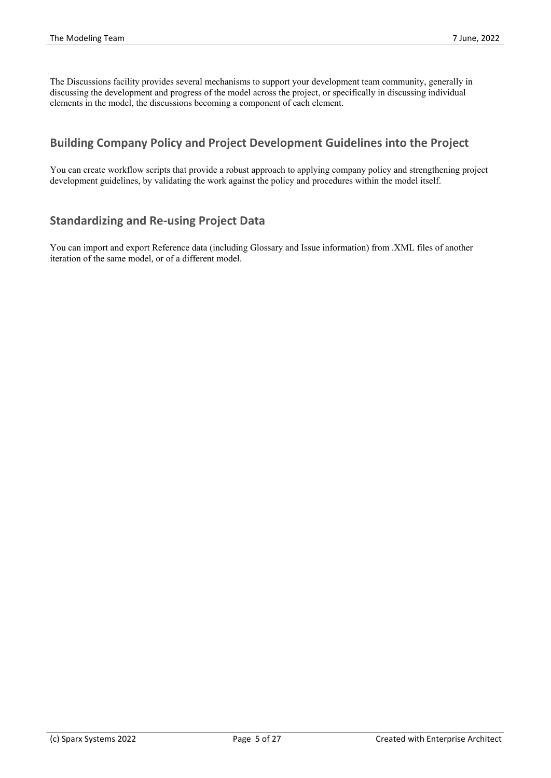The Discussions facility provides several mechanisms to support your development team community, generally in discussing the development and progress of the model across the project, or specifically in discussing individual elements in the model, the discussions becoming a component of each element.

#### **Building Company Policy and Project Development Guidelines into the Project**

You can create workflow scripts that provide a robust approach to applying company policy and strengthening project development guidelines, by validating the work against the policy and procedures within the model itself.

#### **Standardizing and Re-using Project Data**

You can import and export Reference data (including Glossary and Issue information) from .XML files of another iteration of the same model, or of a different model.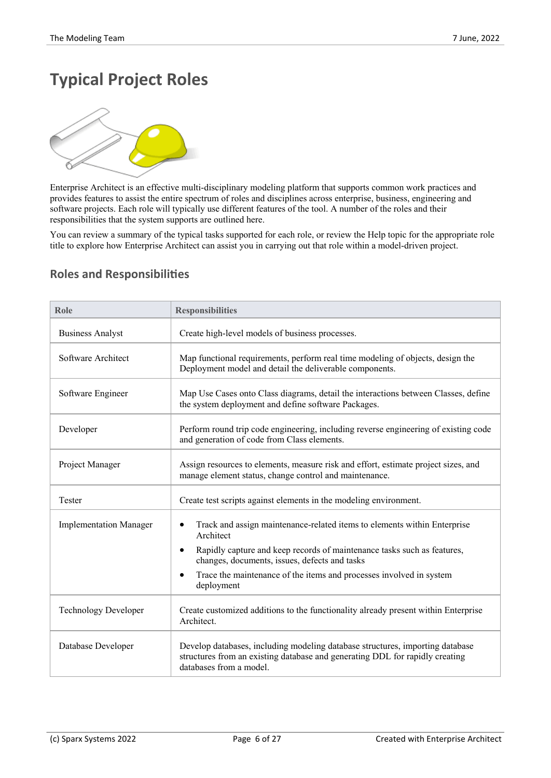# **Typical Project Roles**



Enterprise Architect is an effective multi-disciplinary modeling platform that supports common work practices and provides features to assist the entire spectrum of roles and disciplines across enterprise, business, engineering and software projects.Each role will typically use different features of the tool. A number of the roles and their responsibilities that the system supports are outlined here.

You can review a summary of the typical tasks supported for each role, or review the Help topic for the appropriate role title to explore how Enterprise Architect can assist you in carrying out that role within a model-driven project.

| Role                          | <b>Responsibilities</b>                                                                                                                                                                  |
|-------------------------------|------------------------------------------------------------------------------------------------------------------------------------------------------------------------------------------|
| <b>Business Analyst</b>       | Create high-level models of business processes.                                                                                                                                          |
| Software Architect            | Map functional requirements, perform real time modeling of objects, design the<br>Deployment model and detail the deliverable components.                                                |
| Software Engineer             | Map Use Cases onto Class diagrams, detail the interactions between Classes, define<br>the system deployment and define software Packages.                                                |
| Developer                     | Perform round trip code engineering, including reverse engineering of existing code<br>and generation of code from Class elements.                                                       |
| Project Manager               | Assign resources to elements, measure risk and effort, estimate project sizes, and<br>manage element status, change control and maintenance.                                             |
| Tester                        | Create test scripts against elements in the modeling environment.                                                                                                                        |
| <b>Implementation Manager</b> | Track and assign maintenance-related items to elements within Enterprise<br>$\bullet$<br>Architect                                                                                       |
|                               | Rapidly capture and keep records of maintenance tasks such as features,<br>$\bullet$<br>changes, documents, issues, defects and tasks                                                    |
|                               | Trace the maintenance of the items and processes involved in system<br>$\bullet$<br>deployment                                                                                           |
| <b>Technology Developer</b>   | Create customized additions to the functionality already present within Enterprise<br>Architect.                                                                                         |
| Database Developer            | Develop databases, including modeling database structures, importing database<br>structures from an existing database and generating DDL for rapidly creating<br>databases from a model. |

#### **Roles and Responsibilities**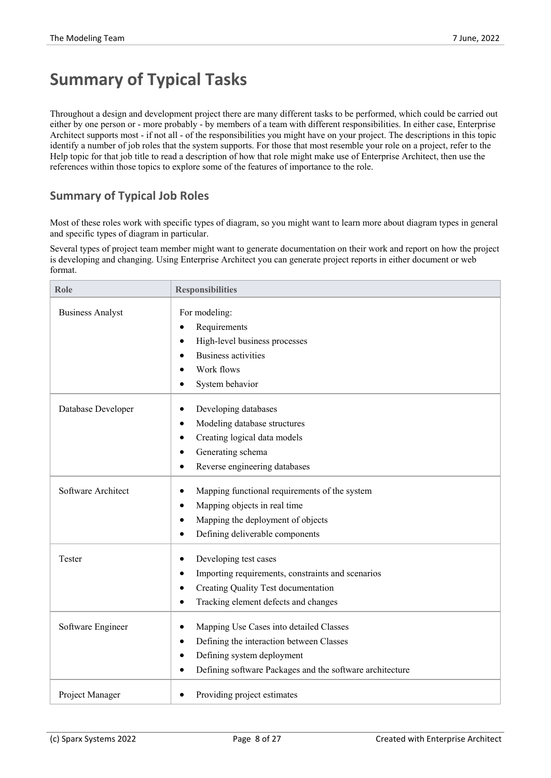## **Summary of Typical Tasks**

Throughout a design and development project there are many different tasks to be performed, which could be carried out either by one person or - more probably - by members of a team with different responsibilities. In either case, Enterprise Architect supports most- if not all - of the responsibilities you might have on your project. The descriptions in this topic identify a number of job roles that the system supports. For those that most resemble yourrole on a project, refer to the Help topic for that job title to read a description of how that role might make use of Enterprise Architect, then use the references within those topics to explore some of the features of importance to the role.

#### **Summary of Typical Job Roles**

Most of these roles work with specific types of diagram, so you might want to learn more about diagram types in general and specific types of diagram in particular.

Several types of project team member might want to generate documentation on their work and report on how the project is developing and changing. Using Enterprise Architect you can generate project reports in either document or web format.

| Role                    | <b>Responsibilities</b>                                                                                                                                                                                                           |
|-------------------------|-----------------------------------------------------------------------------------------------------------------------------------------------------------------------------------------------------------------------------------|
| <b>Business Analyst</b> | For modeling:<br>Requirements<br>$\bullet$<br>High-level business processes<br>$\bullet$<br><b>Business activities</b><br>$\bullet$<br>Work flows<br>System behavior<br>$\bullet$                                                 |
| Database Developer      | Developing databases<br>٠<br>Modeling database structures<br>$\bullet$<br>Creating logical data models<br>$\bullet$<br>Generating schema<br>Reverse engineering databases                                                         |
| Software Architect      | Mapping functional requirements of the system<br>$\bullet$<br>Mapping objects in real time<br>$\bullet$<br>Mapping the deployment of objects<br>$\bullet$<br>Defining deliverable components<br>$\bullet$                         |
| Tester                  | Developing test cases<br>$\bullet$<br>Importing requirements, constraints and scenarios<br>$\bullet$<br>Creating Quality Test documentation<br>$\bullet$<br>Tracking element defects and changes<br>$\bullet$                     |
| Software Engineer       | Mapping Use Cases into detailed Classes<br>$\bullet$<br>Defining the interaction between Classes<br>$\bullet$<br>Defining system deployment<br>$\bullet$<br>Defining software Packages and the software architecture<br>$\bullet$ |
| Project Manager         | Providing project estimates                                                                                                                                                                                                       |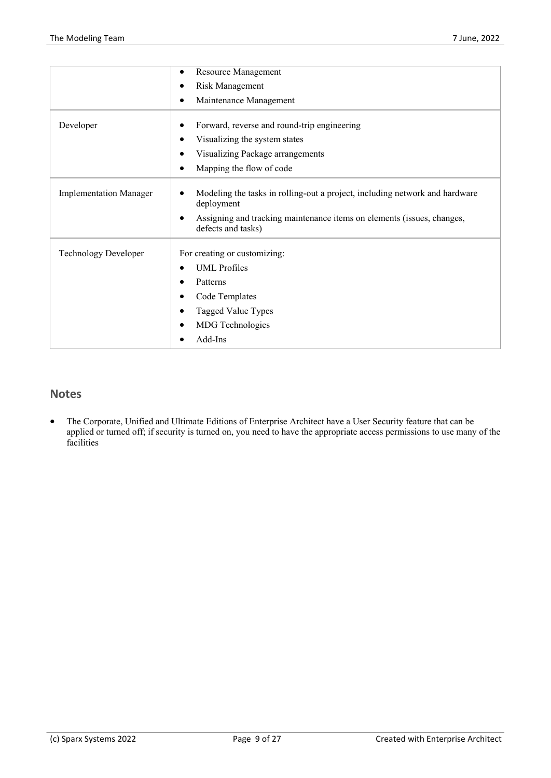|                               | Resource Management<br>٠                                                                       |
|-------------------------------|------------------------------------------------------------------------------------------------|
|                               | Risk Management<br>٠                                                                           |
|                               | Maintenance Management<br>٠                                                                    |
| Developer                     | Forward, reverse and round-trip engineering<br>٠                                               |
|                               | Visualizing the system states<br>$\bullet$                                                     |
|                               |                                                                                                |
|                               | Visualizing Package arrangements<br>$\bullet$                                                  |
|                               | Mapping the flow of code<br>$\bullet$                                                          |
| <b>Implementation Manager</b> | Modeling the tasks in rolling-out a project, including network and hardware<br>٠<br>deployment |
|                               | Assigning and tracking maintenance items on elements (issues, changes,<br>defects and tasks)   |
| <b>Technology Developer</b>   | For creating or customizing:                                                                   |
|                               | <b>UML</b> Profiles<br>$\bullet$                                                               |
|                               | Patterns                                                                                       |
|                               | Code Templates<br>٠                                                                            |
|                               | Tagged Value Types<br>$\bullet$                                                                |
|                               | <b>MDG</b> Technologies<br>$\bullet$                                                           |
|                               |                                                                                                |

#### **Notes**

The Corporate, Unified and Ultimate Editions of Enterprise Architect have a User Security feature that can be applied or turned off; if security is turned on, you need to have the appropriate access permissions to use many of the facilities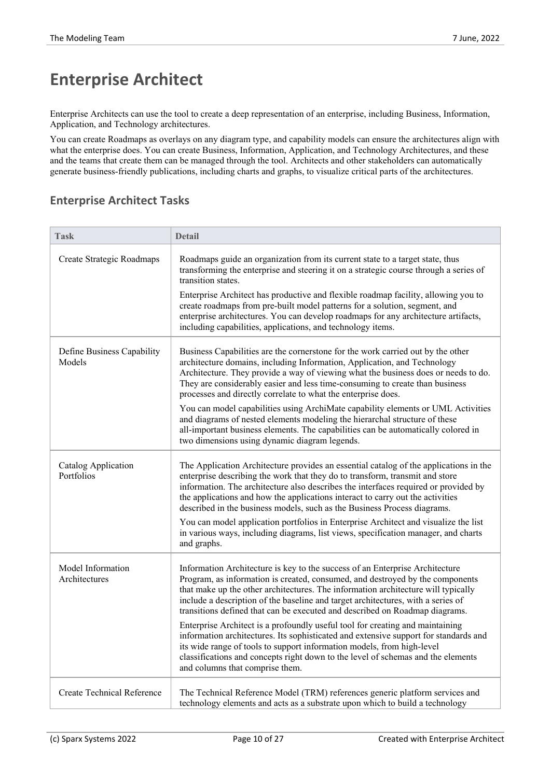## **Enterprise Architect**

Enterprise Architects can use the tool to create a deep representation of an enterprise, including Business, Information, Application, and Technology architectures.

You can create Roadmaps as overlays on any diagram type, and capability models can ensure the architectures align with what the enterprise does. You can create Business, Information, Application, and Technology Architectures, and these and the teams that create them can be managed through the tool. Architects and other stakeholders can automatically generate business-friendly publications, including charts and graphs, to visualize critical parts ofthe architectures.

#### **Enterprise Architect Tasks**

| <b>Task</b>                              | <b>Detail</b>                                                                                                                                                                                                                                                                                                                                                                                                              |
|------------------------------------------|----------------------------------------------------------------------------------------------------------------------------------------------------------------------------------------------------------------------------------------------------------------------------------------------------------------------------------------------------------------------------------------------------------------------------|
| Create Strategic Roadmaps                | Roadmaps guide an organization from its current state to a target state, thus<br>transforming the enterprise and steering it on a strategic course through a series of<br>transition states.                                                                                                                                                                                                                               |
|                                          | Enterprise Architect has productive and flexible roadmap facility, allowing you to<br>create roadmaps from pre-built model patterns for a solution, segment, and<br>enterprise architectures. You can develop roadmaps for any architecture artifacts,<br>including capabilities, applications, and technology items.                                                                                                      |
| Define Business Capability<br>Models     | Business Capabilities are the cornerstone for the work carried out by the other<br>architecture domains, including Information, Application, and Technology<br>Architecture. They provide a way of viewing what the business does or needs to do.<br>They are considerably easier and less time-consuming to create than business<br>processes and directly correlate to what the enterprise does.                         |
|                                          | You can model capabilities using ArchiMate capability elements or UML Activities<br>and diagrams of nested elements modeling the hierarchal structure of these<br>all-important business elements. The capabilities can be automatically colored in<br>two dimensions using dynamic diagram legends.                                                                                                                       |
| <b>Catalog Application</b><br>Portfolios | The Application Architecture provides an essential catalog of the applications in the<br>enterprise describing the work that they do to transform, transmit and store<br>information. The architecture also describes the interfaces required or provided by<br>the applications and how the applications interact to carry out the activities<br>described in the business models, such as the Business Process diagrams. |
|                                          | You can model application portfolios in Enterprise Architect and visualize the list<br>in various ways, including diagrams, list views, specification manager, and charts<br>and graphs.                                                                                                                                                                                                                                   |
| Model Information<br>Architectures       | Information Architecture is key to the success of an Enterprise Architecture<br>Program, as information is created, consumed, and destroyed by the components<br>that make up the other architectures. The information architecture will typically<br>include a description of the baseline and target architectures, with a series of<br>transitions defined that can be executed and described on Roadmap diagrams.      |
|                                          | Enterprise Architect is a profoundly useful tool for creating and maintaining<br>information architectures. Its sophisticated and extensive support for standards and<br>its wide range of tools to support information models, from high-level<br>classifications and concepts right down to the level of schemas and the elements<br>and columns that comprise them.                                                     |
| Create Technical Reference               | The Technical Reference Model (TRM) references generic platform services and<br>technology elements and acts as a substrate upon which to build a technology                                                                                                                                                                                                                                                               |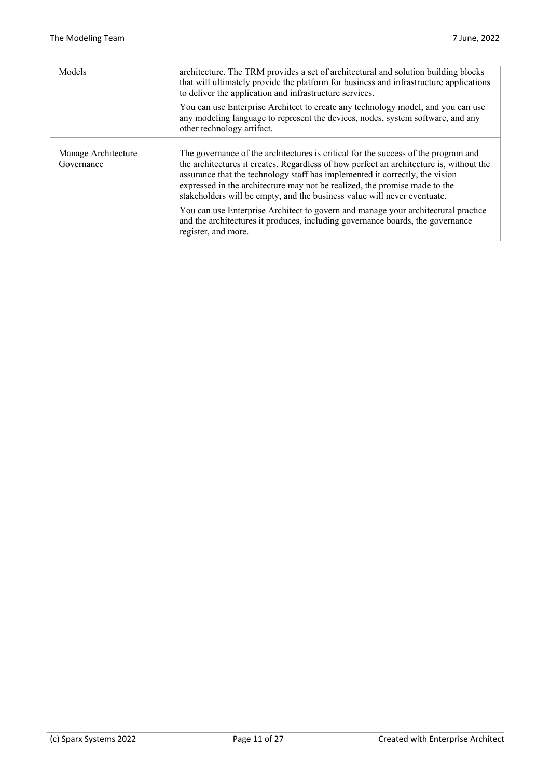| Models                            | architecture. The TRM provides a set of architectural and solution building blocks<br>that will ultimately provide the platform for business and infrastructure applications<br>to deliver the application and infrastructure services.                                                                                                                                                                                 |
|-----------------------------------|-------------------------------------------------------------------------------------------------------------------------------------------------------------------------------------------------------------------------------------------------------------------------------------------------------------------------------------------------------------------------------------------------------------------------|
|                                   | You can use Enterprise Architect to create any technology model, and you can use<br>any modeling language to represent the devices, nodes, system software, and any<br>other technology artifact.                                                                                                                                                                                                                       |
| Manage Architecture<br>Governance | The governance of the architectures is critical for the success of the program and<br>the architectures it creates. Regardless of how perfect an architecture is, without the<br>assurance that the technology staff has implemented it correctly, the vision<br>expressed in the architecture may not be realized, the promise made to the<br>stakeholders will be empty, and the business value will never eventuate. |
|                                   | You can use Enterprise Architect to govern and manage your architectural practice<br>and the architectures it produces, including governance boards, the governance<br>register, and more.                                                                                                                                                                                                                              |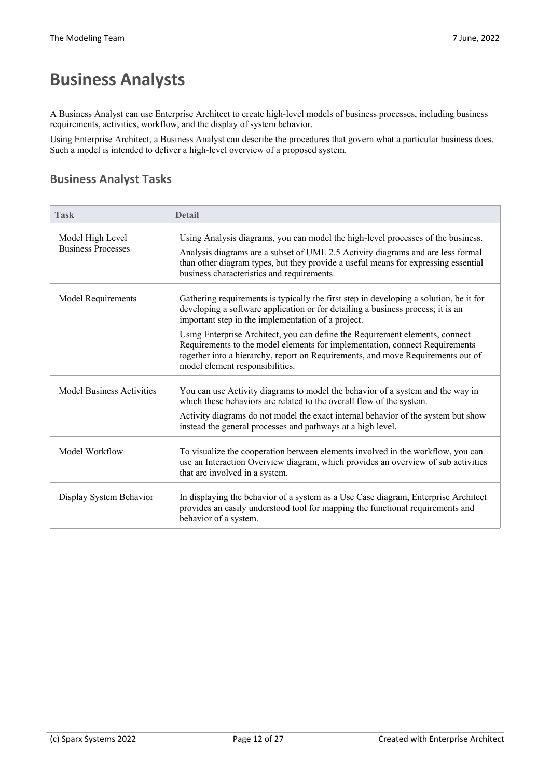## **Business Analysts**

A Business Analyst can use Enterprise Architect to create high-level models of business processes, including business requirements, activities, workflow, and the display of system behavior.

Using Enterprise Architect, a Business Analyst can describe the procedures that govern what a particular business does. Such a model is intended to deliver a high-level overview of a proposed system.

#### **Business Analyst Tasks**

| <b>Task</b>                                   | <b>Detail</b>                                                                                                                                                                                                                                                                                              |  |
|-----------------------------------------------|------------------------------------------------------------------------------------------------------------------------------------------------------------------------------------------------------------------------------------------------------------------------------------------------------------|--|
| Model High Level<br><b>Business Processes</b> | Using Analysis diagrams, you can model the high-level processes of the business.<br>Analysis diagrams are a subset of UML 2.5 Activity diagrams and are less formal<br>than other diagram types, but they provide a useful means for expressing essential<br>business characteristics and requirements.    |  |
| <b>Model Requirements</b>                     | Gathering requirements is typically the first step in developing a solution, be it for<br>developing a software application or for detailing a business process; it is an<br>important step in the implementation of a project.                                                                            |  |
|                                               | Using Enterprise Architect, you can define the Requirement elements, connect<br>Requirements to the model elements for implementation, connect Requirements<br>together into a hierarchy, report on Requirements, and move Requirements out of<br>model element responsibilities.                          |  |
| <b>Model Business Activities</b>              | You can use Activity diagrams to model the behavior of a system and the way in<br>which these behaviors are related to the overall flow of the system.<br>Activity diagrams do not model the exact internal behavior of the system but show<br>instead the general processes and pathways at a high level. |  |
| Model Workflow                                | To visualize the cooperation between elements involved in the workflow, you can<br>use an Interaction Overview diagram, which provides an overview of sub activities<br>that are involved in a system.                                                                                                     |  |
| Display System Behavior                       | In displaying the behavior of a system as a Use Case diagram, Enterprise Architect<br>provides an easily understood tool for mapping the functional requirements and<br>behavior of a system.                                                                                                              |  |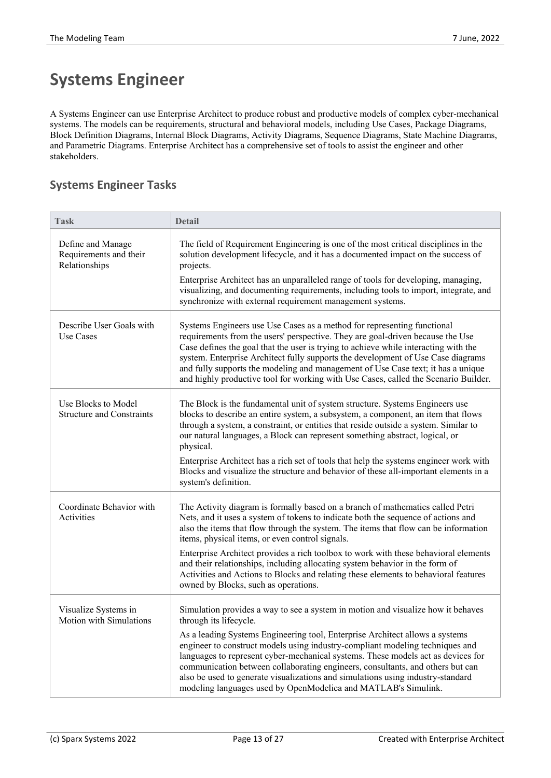# **Systems Engineer**

A Systems Engineer can use Enterprise Architect to produce robust and productive models of complex cyber-mechanical systems. The models can be requirements, structural and behavioral models, including Use Cases, Package Diagrams, Block Definition Diagrams, Internal Block Diagrams, Activity Diagrams, Sequence Diagrams, State Machine Diagrams, and Parametric Diagrams. Enterprise Architect has a comprehensive set of tools to assist the engineer and other stakeholders.

#### **Systems Engineer Tasks**

| <b>Task</b>                                                  | <b>Detail</b>                                                                                                                                                                                                                                                                                                                                                                                                                                                                                                                                                                                                       |
|--------------------------------------------------------------|---------------------------------------------------------------------------------------------------------------------------------------------------------------------------------------------------------------------------------------------------------------------------------------------------------------------------------------------------------------------------------------------------------------------------------------------------------------------------------------------------------------------------------------------------------------------------------------------------------------------|
| Define and Manage<br>Requirements and their<br>Relationships | The field of Requirement Engineering is one of the most critical disciplines in the<br>solution development lifecycle, and it has a documented impact on the success of<br>projects.<br>Enterprise Architect has an unparalleled range of tools for developing, managing,<br>visualizing, and documenting requirements, including tools to import, integrate, and<br>synchronize with external requirement management systems.                                                                                                                                                                                      |
| Describe User Goals with<br><b>Use Cases</b>                 | Systems Engineers use Use Cases as a method for representing functional<br>requirements from the users' perspective. They are goal-driven because the Use<br>Case defines the goal that the user is trying to achieve while interacting with the<br>system. Enterprise Architect fully supports the development of Use Case diagrams<br>and fully supports the modeling and management of Use Case text; it has a unique<br>and highly productive tool for working with Use Cases, called the Scenario Builder.                                                                                                     |
| Use Blocks to Model<br><b>Structure and Constraints</b>      | The Block is the fundamental unit of system structure. Systems Engineers use<br>blocks to describe an entire system, a subsystem, a component, an item that flows<br>through a system, a constraint, or entities that reside outside a system. Similar to<br>our natural languages, a Block can represent something abstract, logical, or<br>physical.<br>Enterprise Architect has a rich set of tools that help the systems engineer work with<br>Blocks and visualize the structure and behavior of these all-important elements in a<br>system's definition.                                                     |
| Coordinate Behavior with<br>Activities                       | The Activity diagram is formally based on a branch of mathematics called Petri<br>Nets, and it uses a system of tokens to indicate both the sequence of actions and<br>also the items that flow through the system. The items that flow can be information<br>items, physical items, or even control signals.<br>Enterprise Architect provides a rich toolbox to work with these behavioral elements<br>and their relationships, including allocating system behavior in the form of<br>Activities and Actions to Blocks and relating these elements to behavioral features<br>owned by Blocks, such as operations. |
| Visualize Systems in<br>Motion with Simulations              | Simulation provides a way to see a system in motion and visualize how it behaves<br>through its lifecycle.<br>As a leading Systems Engineering tool, Enterprise Architect allows a systems<br>engineer to construct models using industry-compliant modeling techniques and<br>languages to represent cyber-mechanical systems. These models act as devices for<br>communication between collaborating engineers, consultants, and others but can<br>also be used to generate visualizations and simulations using industry-standard<br>modeling languages used by OpenModelica and MATLAB's Simulink.              |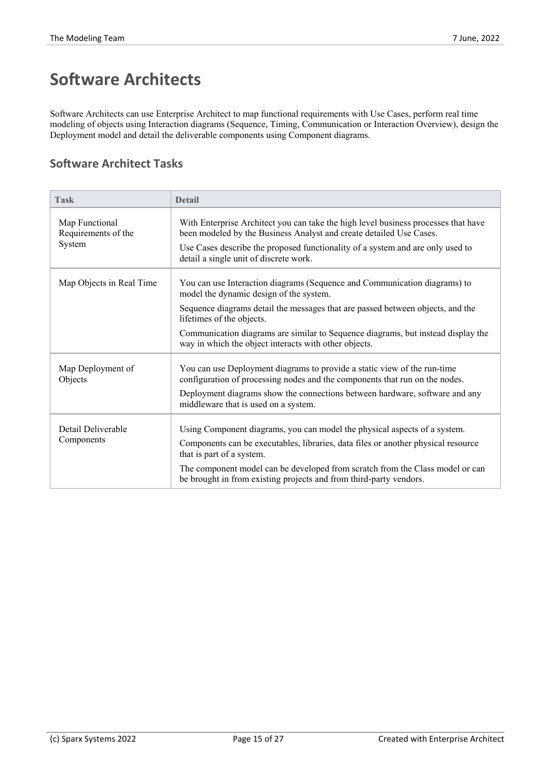# **Software Architects**

Software Architects can use Enterprise Architect to map functional requirements with Use Cases, perform real time modeling of objects using Interaction diagrams (Sequence, Timing, Communication or Interaction Overview), design the Deployment model and detail the deliverable components using Component diagrams.

#### **Software Architect Tasks**

| Task                                            | <b>Detail</b>                                                                                                                                             |
|-------------------------------------------------|-----------------------------------------------------------------------------------------------------------------------------------------------------------|
| Map Functional<br>Requirements of the<br>System | With Enterprise Architect you can take the high level business processes that have<br>been modeled by the Business Analyst and create detailed Use Cases. |
|                                                 | Use Cases describe the proposed functionality of a system and are only used to<br>detail a single unit of discrete work.                                  |
| Map Objects in Real Time                        | You can use Interaction diagrams (Sequence and Communication diagrams) to<br>model the dynamic design of the system.                                      |
|                                                 | Sequence diagrams detail the messages that are passed between objects, and the<br>lifetimes of the objects.                                               |
|                                                 | Communication diagrams are similar to Sequence diagrams, but instead display the<br>way in which the object interacts with other objects.                 |
| Map Deployment of<br>Objects                    | You can use Deployment diagrams to provide a static view of the run-time<br>configuration of processing nodes and the components that run on the nodes.   |
|                                                 | Deployment diagrams show the connections between hardware, software and any<br>middleware that is used on a system.                                       |
| Detail Deliverable                              | Using Component diagrams, you can model the physical aspects of a system.                                                                                 |
| Components                                      | Components can be executables, libraries, data files or another physical resource<br>that is part of a system.                                            |
|                                                 | The component model can be developed from scratch from the Class model or can<br>be brought in from existing projects and from third-party vendors.       |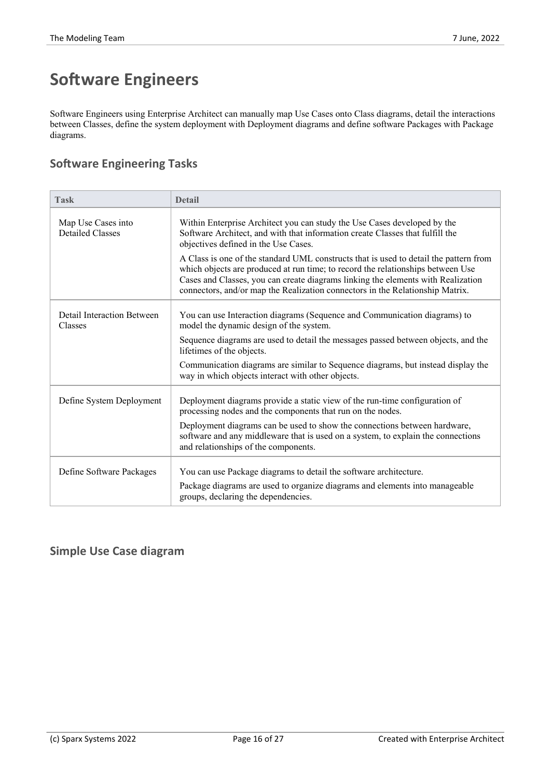# **Software Engineers**

Software Engineers using Enterprise Architect can manually map Use Cases onto Class diagrams, detail the interactions between Classes, define the system deployment with Deployment diagrams and define software Packages with Package diagrams.

#### **Software Engineering Tasks**

| <b>Task</b>                                   | <b>Detail</b>                                                                                                                                                                                                                                                                                                                                 |
|-----------------------------------------------|-----------------------------------------------------------------------------------------------------------------------------------------------------------------------------------------------------------------------------------------------------------------------------------------------------------------------------------------------|
| Map Use Cases into<br><b>Detailed Classes</b> | Within Enterprise Architect you can study the Use Cases developed by the<br>Software Architect, and with that information create Classes that fulfill the<br>objectives defined in the Use Cases.                                                                                                                                             |
|                                               | A Class is one of the standard UML constructs that is used to detail the pattern from<br>which objects are produced at run time; to record the relationships between Use<br>Cases and Classes, you can create diagrams linking the elements with Realization<br>connectors, and/or map the Realization connectors in the Relationship Matrix. |
| Detail Interaction Between<br>Classes         | You can use Interaction diagrams (Sequence and Communication diagrams) to<br>model the dynamic design of the system.                                                                                                                                                                                                                          |
|                                               | Sequence diagrams are used to detail the messages passed between objects, and the<br>lifetimes of the objects.                                                                                                                                                                                                                                |
|                                               | Communication diagrams are similar to Sequence diagrams, but instead display the<br>way in which objects interact with other objects.                                                                                                                                                                                                         |
| Define System Deployment                      | Deployment diagrams provide a static view of the run-time configuration of<br>processing nodes and the components that run on the nodes.                                                                                                                                                                                                      |
|                                               | Deployment diagrams can be used to show the connections between hardware,<br>software and any middleware that is used on a system, to explain the connections<br>and relationships of the components.                                                                                                                                         |
| Define Software Packages                      | You can use Package diagrams to detail the software architecture.                                                                                                                                                                                                                                                                             |
|                                               | Package diagrams are used to organize diagrams and elements into manageable<br>groups, declaring the dependencies.                                                                                                                                                                                                                            |

#### **Simple Use Case diagram**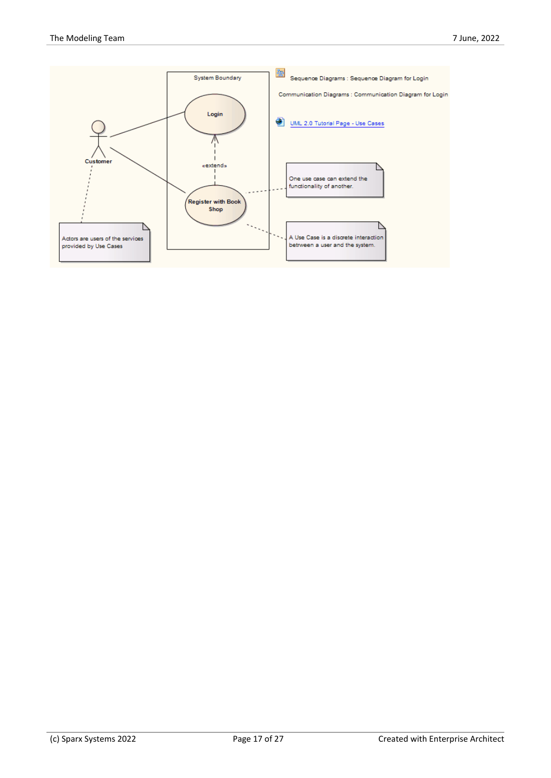![](_page_16_Figure_2.jpeg)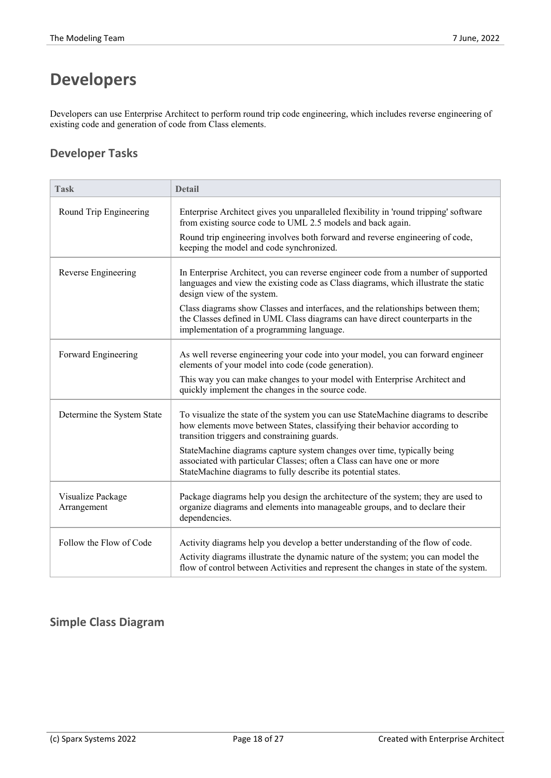# **Developers**

Developers can use Enterprise Architect to perform round trip code engineering, which includes reverse engineering of existing code and generation of code from Class elements.

#### **Developer Tasks**

| <b>Task</b>                      | <b>Detail</b>                                                                                                                                                                                                      |
|----------------------------------|--------------------------------------------------------------------------------------------------------------------------------------------------------------------------------------------------------------------|
| Round Trip Engineering           | Enterprise Architect gives you unparalleled flexibility in 'round tripping' software<br>from existing source code to UML 2.5 models and back again.                                                                |
|                                  | Round trip engineering involves both forward and reverse engineering of code,<br>keeping the model and code synchronized.                                                                                          |
| Reverse Engineering              | In Enterprise Architect, you can reverse engineer code from a number of supported<br>languages and view the existing code as Class diagrams, which illustrate the static<br>design view of the system.             |
|                                  | Class diagrams show Classes and interfaces, and the relationships between them;<br>the Classes defined in UML Class diagrams can have direct counterparts in the<br>implementation of a programming language.      |
| Forward Engineering              | As well reverse engineering your code into your model, you can forward engineer<br>elements of your model into code (code generation).                                                                             |
|                                  | This way you can make changes to your model with Enterprise Architect and<br>quickly implement the changes in the source code.                                                                                     |
| Determine the System State       | To visualize the state of the system you can use StateMachine diagrams to describe<br>how elements move between States, classifying their behavior according to<br>transition triggers and constraining guards.    |
|                                  | StateMachine diagrams capture system changes over time, typically being<br>associated with particular Classes; often a Class can have one or more<br>StateMachine diagrams to fully describe its potential states. |
| Visualize Package<br>Arrangement | Package diagrams help you design the architecture of the system; they are used to<br>organize diagrams and elements into manageable groups, and to declare their<br>dependencies.                                  |
| Follow the Flow of Code          | Activity diagrams help you develop a better understanding of the flow of code.                                                                                                                                     |
|                                  | Activity diagrams illustrate the dynamic nature of the system; you can model the<br>flow of control between Activities and represent the changes in state of the system.                                           |

#### **Simple Class Diagram**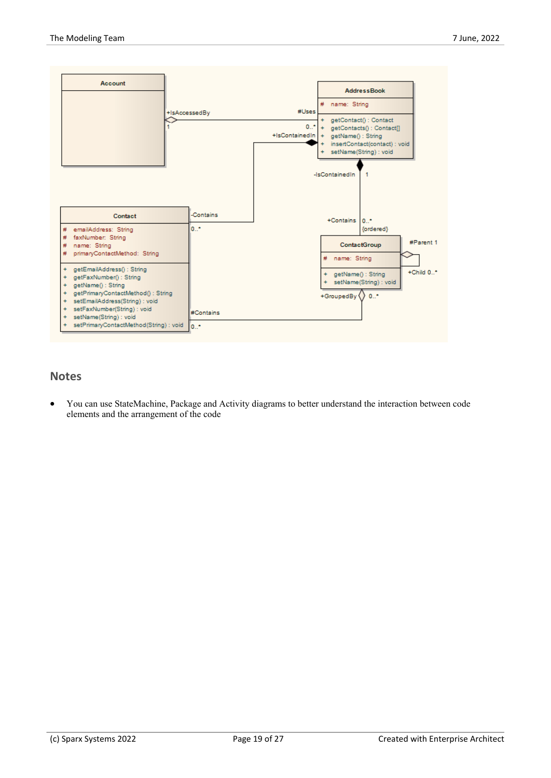![](_page_18_Figure_2.jpeg)

#### **Notes**

· You can use StateMachine, Package and Activity diagrams to better understand the interaction between code elements and the arrangement of the code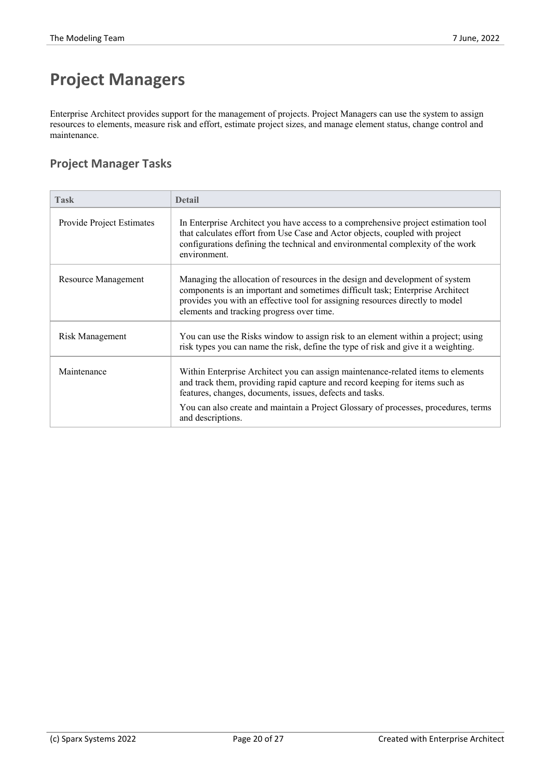# **Project Managers**

Enterprise Architect provides support for the management of projects. Project Managers can use the system to assign resources to elements, measure risk and effort, estimate project sizes, and manage element status, change control and maintenance.

#### **Project Manager Tasks**

| <b>Task</b>               | <b>Detail</b>                                                                                                                                                                                                                                                                               |
|---------------------------|---------------------------------------------------------------------------------------------------------------------------------------------------------------------------------------------------------------------------------------------------------------------------------------------|
| Provide Project Estimates | In Enterprise Architect you have access to a comprehensive project estimation tool<br>that calculates effort from Use Case and Actor objects, coupled with project<br>configurations defining the technical and environmental complexity of the work<br>environment.                        |
| Resource Management       | Managing the allocation of resources in the design and development of system<br>components is an important and sometimes difficult task; Enterprise Architect<br>provides you with an effective tool for assigning resources directly to model<br>elements and tracking progress over time. |
| Risk Management           | You can use the Risks window to assign risk to an element within a project; using<br>risk types you can name the risk, define the type of risk and give it a weighting.                                                                                                                     |
| Maintenance               | Within Enterprise Architect you can assign maintenance-related items to elements<br>and track them, providing rapid capture and record keeping for items such as<br>features, changes, documents, issues, defects and tasks.                                                                |
|                           | You can also create and maintain a Project Glossary of processes, procedures, terms<br>and descriptions.                                                                                                                                                                                    |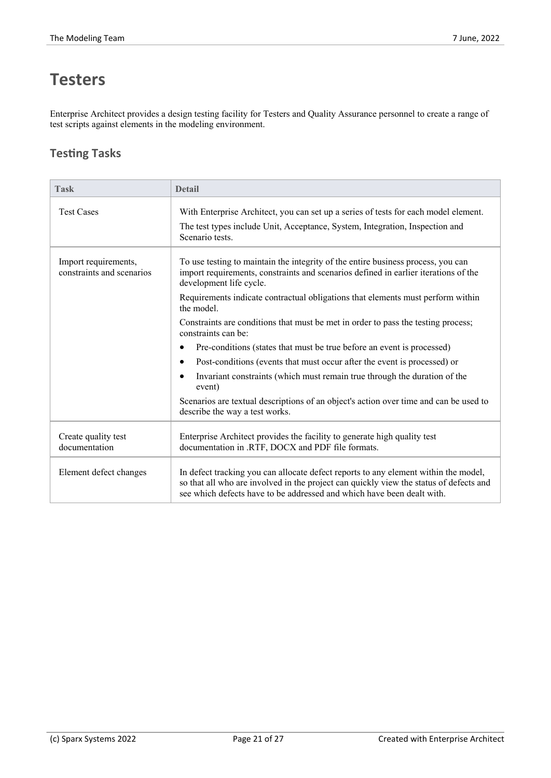# **Testers**

Enterprise Architect provides a design testing facility for Testers and Quality Assurance personnel to create a range of test scripts against elements in the modeling environment.

#### **Testing Tasks**

| <b>Task</b>                                       | <b>Detail</b>                                                                                                                                                                                                                                           |
|---------------------------------------------------|---------------------------------------------------------------------------------------------------------------------------------------------------------------------------------------------------------------------------------------------------------|
| <b>Test Cases</b>                                 | With Enterprise Architect, you can set up a series of tests for each model element.                                                                                                                                                                     |
|                                                   | The test types include Unit, Acceptance, System, Integration, Inspection and<br>Scenario tests.                                                                                                                                                         |
| Import requirements,<br>constraints and scenarios | To use testing to maintain the integrity of the entire business process, you can<br>import requirements, constraints and scenarios defined in earlier iterations of the<br>development life cycle.                                                      |
|                                                   | Requirements indicate contractual obligations that elements must perform within<br>the model.                                                                                                                                                           |
|                                                   | Constraints are conditions that must be met in order to pass the testing process;<br>constraints can be:                                                                                                                                                |
|                                                   | Pre-conditions (states that must be true before an event is processed)<br>$\bullet$                                                                                                                                                                     |
|                                                   | Post-conditions (events that must occur after the event is processed) or<br>$\bullet$                                                                                                                                                                   |
|                                                   | Invariant constraints (which must remain true through the duration of the<br>event)                                                                                                                                                                     |
|                                                   | Scenarios are textual descriptions of an object's action over time and can be used to<br>describe the way a test works.                                                                                                                                 |
| Create quality test<br>documentation              | Enterprise Architect provides the facility to generate high quality test<br>documentation in .RTF, DOCX and PDF file formats.                                                                                                                           |
| Element defect changes                            | In defect tracking you can allocate defect reports to any element within the model,<br>so that all who are involved in the project can quickly view the status of defects and<br>see which defects have to be addressed and which have been dealt with. |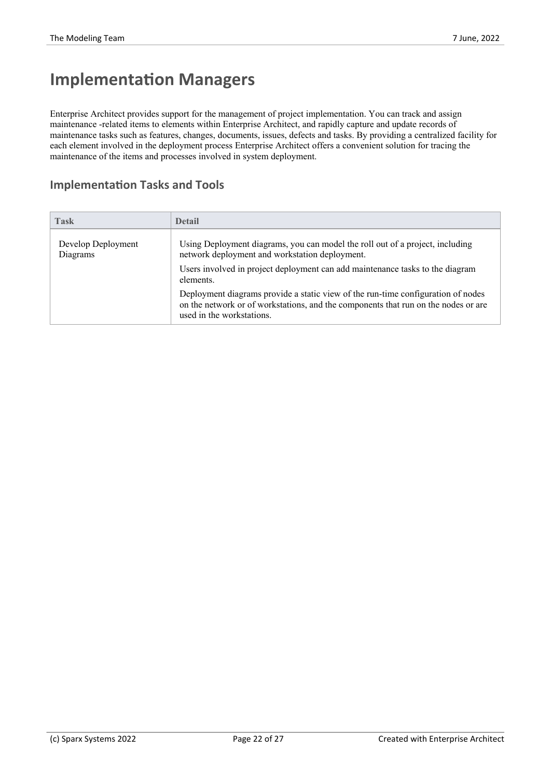### **Implementation Managers**

Enterprise Architect provides support for the management of project implementation. You can track and assign maintenance -related items to elements within Enterprise Architect, and rapidly capture and update records of maintenance tasks such as features, changes, documents, issues, defects and tasks. By providing a centralized facility for each element involved in the deployment process Enterprise Architect offers a convenient solution for tracing the maintenance of the items and processes involved in system deployment.

#### **Implementation Tasks and Tools**

| <b>Task</b>                    | <b>Detail</b>                                                                                                                                                                                       |
|--------------------------------|-----------------------------------------------------------------------------------------------------------------------------------------------------------------------------------------------------|
| Develop Deployment<br>Diagrams | Using Deployment diagrams, you can model the roll out of a project, including<br>network deployment and workstation deployment.                                                                     |
|                                | Users involved in project deployment can add maintenance tasks to the diagram<br>elements.                                                                                                          |
|                                | Deployment diagrams provide a static view of the run-time configuration of nodes<br>on the network or of workstations, and the components that run on the nodes or are<br>used in the workstations. |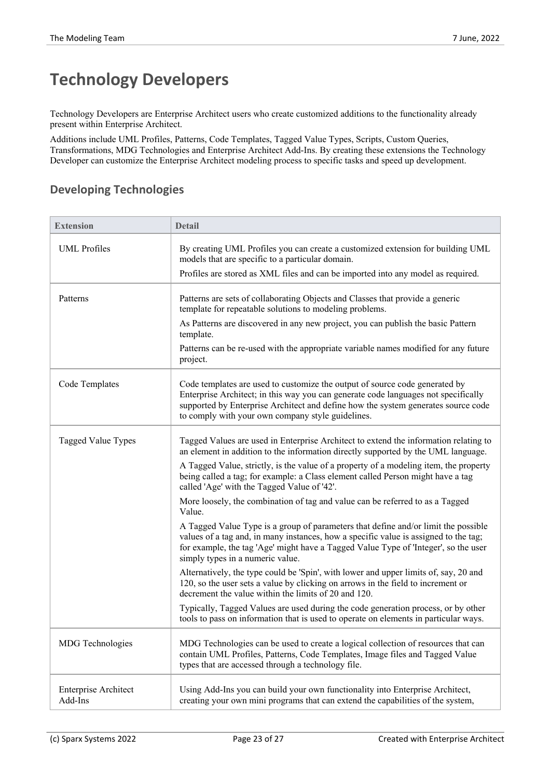# **Technology Developers**

Technology Developers are Enterprise Architect users who create customized additions to the functionality already present within Enterprise Architect.

Additions include UML Profiles, Patterns, Code Templates, Tagged Value Types, Scripts, Custom Queries, Transformations, MDG Technologies and Enterprise Architect Add-Ins. By creating these extensions the Technology Developer can customize the Enterprise Architect modeling process to specific tasks and speed up development.

#### **Developing Technologies**

| <b>Extension</b>                       | <b>Detail</b>                                                                                                                                                                                                                                                                                               |
|----------------------------------------|-------------------------------------------------------------------------------------------------------------------------------------------------------------------------------------------------------------------------------------------------------------------------------------------------------------|
| <b>UML</b> Profiles                    | By creating UML Profiles you can create a customized extension for building UML<br>models that are specific to a particular domain.                                                                                                                                                                         |
|                                        | Profiles are stored as XML files and can be imported into any model as required.                                                                                                                                                                                                                            |
| Patterns                               | Patterns are sets of collaborating Objects and Classes that provide a generic<br>template for repeatable solutions to modeling problems.                                                                                                                                                                    |
|                                        | As Patterns are discovered in any new project, you can publish the basic Pattern<br>template.                                                                                                                                                                                                               |
|                                        | Patterns can be re-used with the appropriate variable names modified for any future<br>project.                                                                                                                                                                                                             |
| Code Templates                         | Code templates are used to customize the output of source code generated by<br>Enterprise Architect; in this way you can generate code languages not specifically<br>supported by Enterprise Architect and define how the system generates source code<br>to comply with your own company style guidelines. |
| Tagged Value Types                     | Tagged Values are used in Enterprise Architect to extend the information relating to<br>an element in addition to the information directly supported by the UML language.                                                                                                                                   |
|                                        | A Tagged Value, strictly, is the value of a property of a modeling item, the property<br>being called a tag; for example: a Class element called Person might have a tag<br>called 'Age' with the Tagged Value of '42'.                                                                                     |
|                                        | More loosely, the combination of tag and value can be referred to as a Tagged<br>Value.                                                                                                                                                                                                                     |
|                                        | A Tagged Value Type is a group of parameters that define and/or limit the possible<br>values of a tag and, in many instances, how a specific value is assigned to the tag;<br>for example, the tag 'Age' might have a Tagged Value Type of 'Integer', so the user<br>simply types in a numeric value.       |
|                                        | Alternatively, the type could be 'Spin', with lower and upper limits of, say, 20 and<br>120, so the user sets a value by clicking on arrows in the field to increment or<br>decrement the value within the limits of 20 and 120.                                                                            |
|                                        | Typically, Tagged Values are used during the code generation process, or by other<br>tools to pass on information that is used to operate on elements in particular ways.                                                                                                                                   |
| MDG Technologies                       | MDG Technologies can be used to create a logical collection of resources that can<br>contain UML Profiles, Patterns, Code Templates, Image files and Tagged Value<br>types that are accessed through a technology file.                                                                                     |
| <b>Enterprise Architect</b><br>Add-Ins | Using Add-Ins you can build your own functionality into Enterprise Architect,<br>creating your own mini programs that can extend the capabilities of the system,                                                                                                                                            |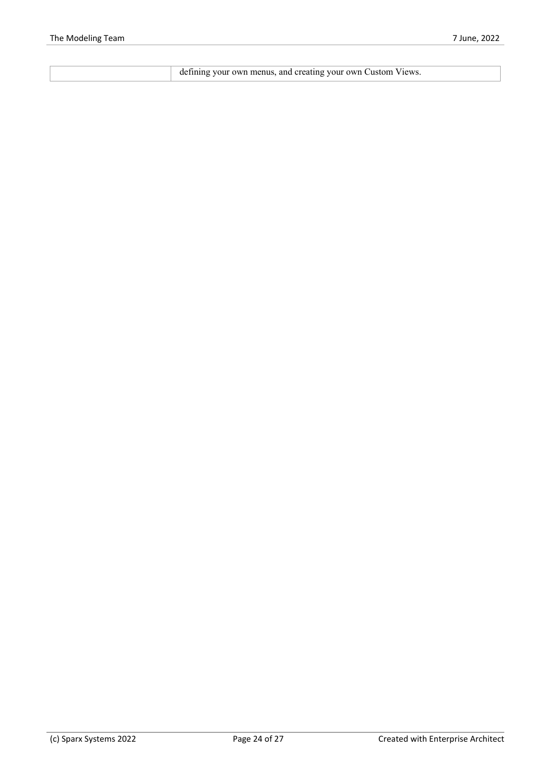| defining your own menus, and creating your own Custom Views. |
|--------------------------------------------------------------|
|--------------------------------------------------------------|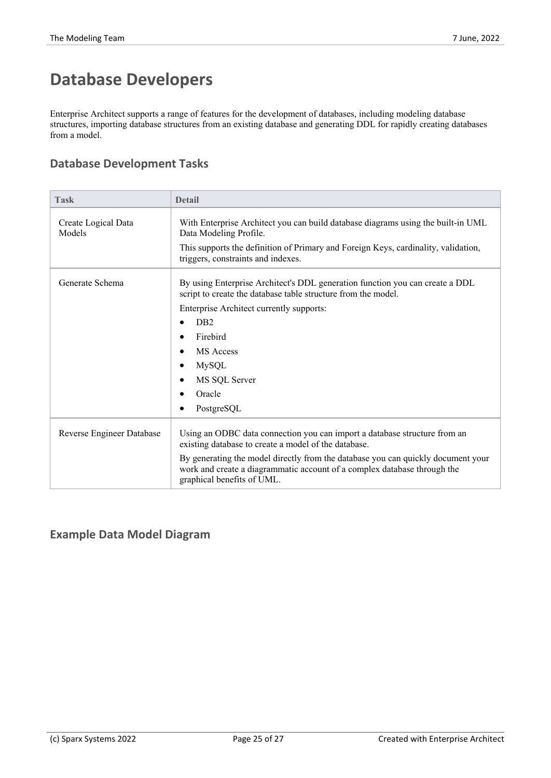# **Database Developers**

Enterprise Architect supports a range of features for the development of databases, including modeling database structures, importing database structures from an existing database and generating DDL for rapidly creating databases from a model.

#### **Database Development Tasks**

| Task                          | <b>Detail</b>                                                                                                                                                                              |
|-------------------------------|--------------------------------------------------------------------------------------------------------------------------------------------------------------------------------------------|
| Create Logical Data<br>Models | With Enterprise Architect you can build database diagrams using the built-in UML<br>Data Modeling Profile.                                                                                 |
|                               | This supports the definition of Primary and Foreign Keys, cardinality, validation,<br>triggers, constraints and indexes.                                                                   |
| Generate Schema               | By using Enterprise Architect's DDL generation function you can create a DDL<br>script to create the database table structure from the model.                                              |
|                               | Enterprise Architect currently supports:                                                                                                                                                   |
|                               | D <sub>B2</sub>                                                                                                                                                                            |
|                               | Firebird                                                                                                                                                                                   |
|                               | <b>MS</b> Access                                                                                                                                                                           |
|                               | <b>MySQL</b>                                                                                                                                                                               |
|                               | MS SQL Server                                                                                                                                                                              |
|                               | Oracle                                                                                                                                                                                     |
|                               | PostgreSQL                                                                                                                                                                                 |
| Reverse Engineer Database     | Using an ODBC data connection you can import a database structure from an<br>existing database to create a model of the database.                                                          |
|                               | By generating the model directly from the database you can quickly document your<br>work and create a diagrammatic account of a complex database through the<br>graphical benefits of UML. |

#### **Example Data Model Diagram**